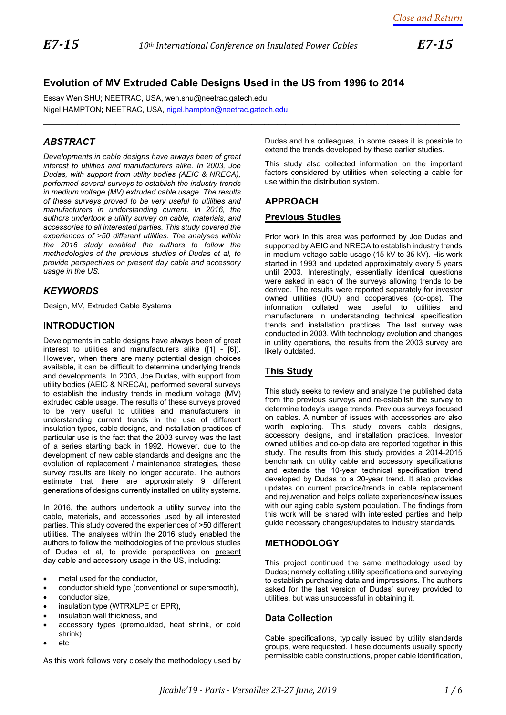$\mathcal{L}_\mathcal{L} = \{ \mathcal{L}_\mathcal{L} = \{ \mathcal{L}_\mathcal{L} = \{ \mathcal{L}_\mathcal{L} = \{ \mathcal{L}_\mathcal{L} = \{ \mathcal{L}_\mathcal{L} = \{ \mathcal{L}_\mathcal{L} = \{ \mathcal{L}_\mathcal{L} = \{ \mathcal{L}_\mathcal{L} = \{ \mathcal{L}_\mathcal{L} = \{ \mathcal{L}_\mathcal{L} = \{ \mathcal{L}_\mathcal{L} = \{ \mathcal{L}_\mathcal{L} = \{ \mathcal{L}_\mathcal{L} = \{ \mathcal{L}_\mathcal{$ 

# **Evolution of MV Extruded Cable Designs Used in the US from 1996 to 2014**

Essay Wen SHU; NEETRAC, USA, wen.shu@neetrac.gatech.edu Nigel HAMPTON**;** NEETRAC, USA, [nigel.hampton@neetrac.gatech.edu](mailto:nigel.hampton@neetrac.gatech.edu)

# *ABSTRACT*

*Developments in cable designs have always been of great interest to utilities and manufacturers alike. In 2003, Joe Dudas, with support from utility bodies (AEIC & NRECA), performed several surveys to establish the industry trends in medium voltage (MV) extruded cable usage. The results of these surveys proved to be very useful to utilities and manufacturers in understanding current. In 2016, the authors undertook a utility survey on cable, materials, and accessories to all interested parties. This study covered the experiences of >50 different utilities. The analyses within the 2016 study enabled the authors to follow the methodologies of the previous studies of Dudas et al, to provide perspectives on present day cable and accessory usage in the US.* 

### *KEYWORDS*

Design, MV, Extruded Cable Systems

### **INTRODUCTION**

Developments in cable designs have always been of great interest to utilities and manufacturers alike [\(\[1\]](#page-4-0) - [\[6\]\)](#page-5-0). However, when there are many potential design choices available, it can be difficult to determine underlying trends and developments. In 2003, Joe Dudas, with support from utility bodies (AEIC & NRECA), performed several surveys to establish the industry trends in medium voltage (MV) extruded cable usage. The results of these surveys proved to be very useful to utilities and manufacturers in understanding current trends in the use of different insulation types, cable designs, and installation practices of particular use is the fact that the 2003 survey was the last of a series starting back in 1992. However, due to the development of new cable standards and designs and the evolution of replacement / maintenance strategies, these survey results are likely no longer accurate. The authors estimate that there are approximately 9 different generations of designs currently installed on utility systems.

In 2016, the authors undertook a utility survey into the cable, materials, and accessories used by all interested parties. This study covered the experiences of >50 different utilities. The analyses within the 2016 study enabled the authors to follow the methodologies of the previous studies of Dudas et al, to provide perspectives on present day cable and accessory usage in the US, including:

- metal used for the conductor,
- conductor shield type (conventional or supersmooth),
- conductor size,
- insulation type (WTRXLPE or EPR),
- insulation wall thickness, and
- accessory types (premoulded, heat shrink, or cold shrink)
- $etc.$

As this work follows very closely the methodology used by

Dudas and his colleagues, in some cases it is possible to extend the trends developed by these earlier studies.

This study also collected information on the important factors considered by utilities when selecting a cable for use within the distribution system.

### **APPROACH**

### **Previous Studies**

Prior work in this area was performed by Joe Dudas and supported by AEIC and NRECA to establish industry trends in medium voltage cable usage (15 kV to 35 kV). His work started in 1993 and updated approximately every 5 years until 2003. Interestingly, essentially identical questions were asked in each of the surveys allowing trends to be derived. The results were reported separately for investor owned utilities (IOU) and cooperatives (co-ops). The information collated was useful to utilities and manufacturers in understanding technical specification trends and installation practices. The last survey was conducted in 2003. With technology evolution and changes in utility operations, the results from the 2003 survey are likely outdated.

## **This Study**

This study seeks to review and analyze the published data from the previous surveys and re-establish the survey to determine today's usage trends. Previous surveys focused on cables. A number of issues with accessories are also worth exploring. This study covers cable designs, accessory designs, and installation practices. Investor owned utilities and co-op data are reported together in this study. The results from this study provides a 2014-2015 benchmark on utility cable and accessory specifications and extends the 10-year technical specification trend developed by Dudas to a 20-year trend. It also provides updates on current practice/trends in cable replacement and rejuvenation and helps collate experiences/new issues with our aging cable system population. The findings from this work will be shared with interested parties and help guide necessary changes/updates to industry standards.

## **METHODOLOGY**

This project continued the same methodology used by Dudas; namely collating utility specifications and surveying to establish purchasing data and impressions. The authors asked for the last version of Dudas' survey provided to utilities, but was unsuccessful in obtaining it.

### **Data Collection**

Cable specifications, typically issued by utility standards groups, were requested. These documents usually specify permissible cable constructions, proper cable identification,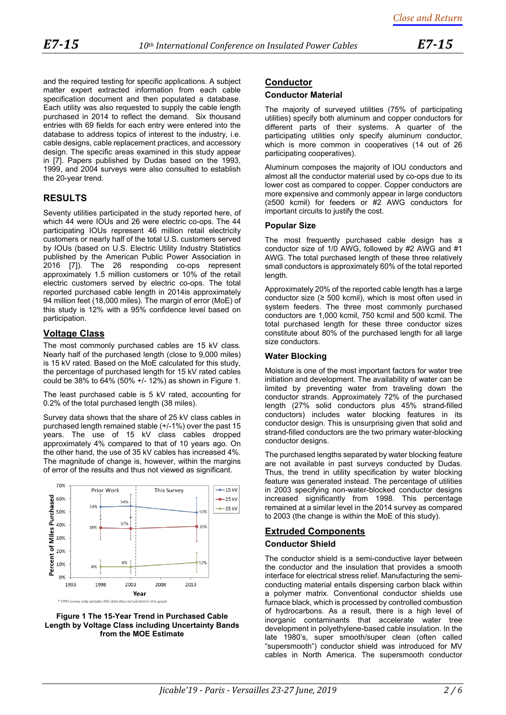and the required testing for specific applications. A subject matter expert extracted information from each cable specification document and then populated a database. Each utility was also requested to supply the cable length purchased in 2014 to reflect the demand. Six thousand entries with 69 fields for each entry were entered into the database to address topics of interest to the industry, i.e. cable designs, cable replacement practices, and accessory design. The specific areas examined in this study appear in [7]. Papers published by Dudas based on the 1993, 1999, and 2004 surveys were also consulted to establish the 20-year trend.

### **RESULTS**

Seventy utilities participated in the study reported here, of which 44 were IOUs and 26 were electric co-ops. The 44 participating IOUs represent 46 million retail electricity customers or nearly half of the total U.S. customers served by IOUs (based on U.S. Electric Utility Industry Statistics published by the American Public Power Association in 2016 [\[7\]\)](#page-5-1). The 26 responding co-ops represent approximately 1.5 million customers or 10% of the retail electric customers served by electric co-ops. The total reported purchased cable length in 2014is approximately 94 million feet (18,000 miles). The margin of error (MoE) of this study is 12% with a 95% confidence level based on participation.

### **Voltage Class**

The most commonly purchased cables are 15 kV class. Nearly half of the purchased length (close to 9,000 miles) is 15 kV rated. Based on the MoE calculated for this study, the percentage of purchased length for 15 kV rated cables could be 38% to 64% (50% +/- 12%) as shown in [Figure 1.](#page-1-0)

The least purchased cable is 5 kV rated, accounting for 0.2% of the total purchased length (38 miles).

Survey data shows that the share of 25 kV class cables in purchased length remained stable (+/-1%) over the past 15 years. The use of 15 kV class cables dropped approximately 4% compared to that of 10 years ago. On the other hand, the use of 35 kV cables has increased 4%. The magnitude of change is, however, within the margins of error of the results and thus not viewed as significant.



<span id="page-1-0"></span>

#### **Conductor**

#### **Conductor Material**

The majority of surveyed utilities (75% of participating utilities) specify both aluminum and copper conductors for different parts of their systems. A quarter of the participating utilities only specify aluminum conductor, which is more common in cooperatives (14 out of 26 participating cooperatives).

Aluminum composes the majority of IOU conductors and almost all the conductor material used by co-ops due to its lower cost as compared to copper. Copper conductors are more expensive and commonly appear in large conductors (≥500 kcmil) for feeders or #2 AWG conductors for important circuits to justify the cost.

#### **Popular Size**

The most frequently purchased cable design has a conductor size of 1/0 AWG, followed by #2 AWG and #1 AWG. The total purchased length of these three relatively small conductors is approximately 60% of the total reported length.

Approximately 20% of the reported cable length has a large conductor size  $(≥ 500$  kcmil), which is most often used in system feeders. The three most commonly purchased conductors are 1,000 kcmil, 750 kcmil and 500 kcmil. The total purchased length for these three conductor sizes constitute about 80% of the purchased length for all large size conductors.

#### **Water Blocking**

Moisture is one of the most important factors for water tree initiation and development. The availability of water can be limited by preventing water from traveling down the conductor strands. Approximately 72% of the purchased length (27% solid conductors plus 45% strand-filled conductors) includes water blocking features in its conductor design. This is unsurprising given that solid and strand-filled conductors are the two primary water-blocking conductor designs.

The purchased lengths separated by water blocking feature are not available in past surveys conducted by Dudas. Thus, the trend in utility specification by water blocking feature was generated instead. The percentage of utilities in 2003 specifying non-water-blocked conductor designs increased significantly from 1998. This percentage remained at a similar level in the 2014 survey as compared to 2003 (the change is within the MoE of this study).

### **Extruded Components**

### **Conductor Shield**

The conductor shield is a semi-conductive layer between the conductor and the insulation that provides a smooth interface for electrical stress relief. Manufacturing the semiconducting material entails dispersing carbon black within a polymer matrix. Conventional conductor shields use furnace black, which is processed by controlled combustion of hydrocarbons. As a result, there is a high level of inorganic contaminants that accelerate water tree development in polyethylene-based cable insulation. In the late 1980's, super smooth/super clean (often called "supersmooth") conductor shield was introduced for MV cables in North America. The supersmooth conductor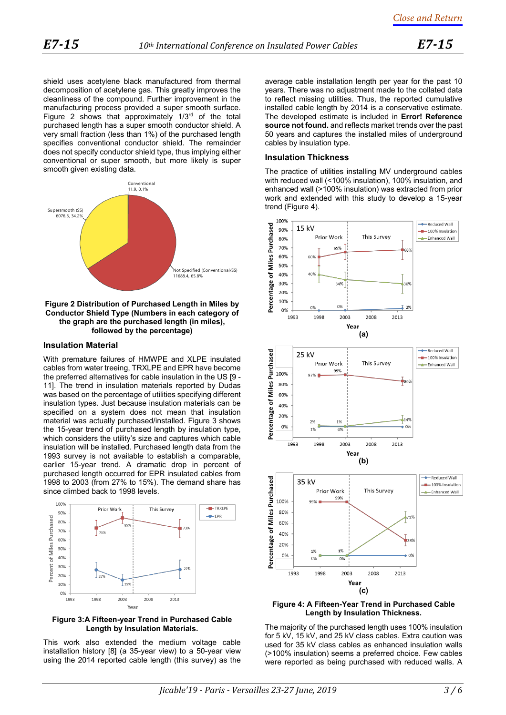shield uses acetylene black manufactured from thermal decomposition of acetylene gas. This greatly improves the cleanliness of the compound. Further improvement in the manufacturing process provided a super smooth surface. [Figure 2](#page-2-0) shows that approximately  $1/3<sup>rd</sup>$  of the total purchased length has a super smooth conductor shield. A very small fraction (less than 1%) of the purchased length specifies conventional conductor shield. The remainder does not specify conductor shield type, thus implying either conventional or super smooth, but more likely is super smooth given existing data. 



#### <span id="page-2-0"></span>**Figure 2 Distribution of Purchased Length in Miles by Conductor Shield Type (Numbers in each category of the graph are the purchased length (in miles), followed by the percentage)**

#### **Insulation Material**

With premature failures of HMWPE and XLPE insulated cables from water treeing, TRXLPE and EPR have become the preferred alternatives for cable insulation in the US [9 - 11]. The trend in insulation materials reported by Dudas was based on the percentage of utilities specifying different insulation types. Just because insulation materials can be specified on a system does not mean that insulation material was actually purchased/installed. [Figure 3](#page-2-1) shows the 15-year trend of purchased length by insulation type, which considers the utility's size and captures which cable insulation will be installed. Purchased length data from the 1993 survey is not available to establish a comparable, earlier 15-year trend. A dramatic drop in percent of purchased length occurred for EPR insulated cables from 1998 to 2003 (from 27% to 15%). The demand share has since climbed back to 1998 levels.



#### <span id="page-2-1"></span>**Figure 3:A Fifteen-year Trend in Purchased Cable Length by Insulation Materials.**

This work also extended the medium voltage cable installation history [\[8\]](#page-5-2) (a 35-year view) to a 50-year view using the 2014 reported cable length (this survey) as the average cable installation length per year for the past 10 years. There was no adjustment made to the collated data to reflect missing utilities. Thus, the reported cumulative installed cable length by 2014 is a conservative estimate. The developed estimate is included in **Error! Reference source not found.** and reflects market trends over the past 50 years and captures the installed miles of underground cables by insulation type.

#### **Insulation Thickness**

The practice of utilities installing MV underground cables with reduced wall (<100% insulation), 100% insulation, and enhanced wall (>100% insulation) was extracted from prior work and extended with this study to develop a 15-year trend [\(Figure 4\)](#page-2-2).



<span id="page-2-2"></span>**Figure 4: A Fifteen-Year Trend in Purchased Cable Length by Insulation Thickness.**

The majority of the purchased length uses 100% insulation for 5 kV, 15 kV, and 25 kV class cables. Extra caution was used for 35 kV class cables as enhanced insulation walls (>100% insulation) seems a preferred choice. Few cables were reported as being purchased with reduced walls. A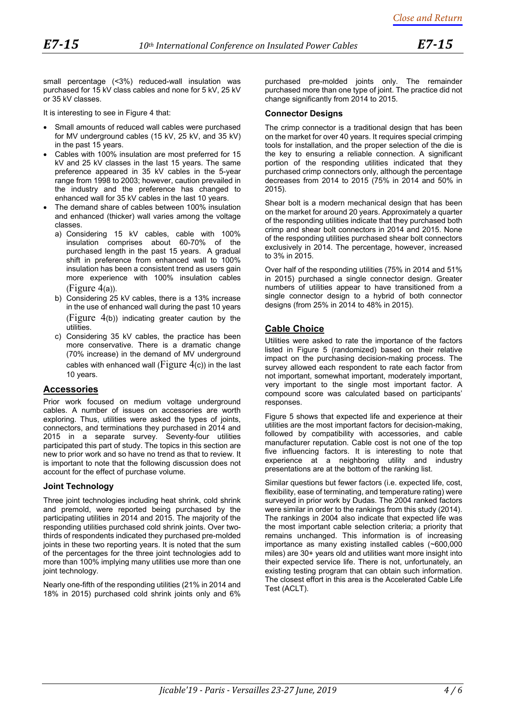small percentage (<3%) reduced-wall insulation was purchased for 15 kV class cables and none for 5 kV, 25 kV or 35 kV classes.

It is interesting to see in [Figure 4](#page-2-2) that:

- Small amounts of reduced wall cables were purchased for MV underground cables (15 kV, 25 kV, and 35 kV) in the past 15 years.
- Cables with 100% insulation are most preferred for 15 kV and 25 kV classes in the last 15 years. The same preference appeared in 35 kV cables in the 5-year range from 1998 to 2003; however, caution prevailed in the industry and the preference has changed to enhanced wall for 35 kV cables in the last 10 years.
- The demand share of cables between 100% insulation and enhanced (thicker) wall varies among the voltage classes.
	- a) Considering 15 kV cables, cable with 100% insulation comprises about 60-70% of the purchased length in the past 15 years. A gradual shift in preference from enhanced wall to 100% insulation has been a consistent trend as users gain more experience with 100% insulation cables  $(Figure 4(a))$  $(Figure 4(a))$  $(Figure 4(a))$ .
	- b) Considering 25 kV cables, there is a 13% increase in the use of enhanced wall during the past 10 years ([Figure 4](#page-2-2)(b)) indicating greater caution by the utilities.
	- c) Considering 35 kV cables, the practice has been more conservative. There is a dramatic change (70% increase) in the demand of MV underground cables with enhanced wall (Figure  $4(c)$ ) in the last 10 years.

### **Accessories**

Prior work focused on medium voltage underground cables. A number of issues on accessories are worth exploring. Thus, utilities were asked the types of joints, connectors, and terminations they purchased in 2014 and 2015 in a separate survey. Seventy-four utilities participated this part of study. The topics in this section are new to prior work and so have no trend as that to review. It is important to note that the following discussion does not account for the effect of purchase volume.

### **Joint Technology**

Three joint technologies including heat shrink, cold shrink and premold, were reported being purchased by the participating utilities in 2014 and 2015. The majority of the responding utilities purchased cold shrink joints. Over twothirds of respondents indicated they purchased pre-molded joints in these two reporting years. It is noted that the sum of the percentages for the three joint technologies add to more than 100% implying many utilities use more than one joint technology.

Nearly one-fifth of the responding utilities (21% in 2014 and 18% in 2015) purchased cold shrink joints only and 6%

purchased pre-molded joints only. The remainder purchased more than one type of joint. The practice did not change significantly from 2014 to 2015.

#### **Connector Designs**

The crimp connector is a traditional design that has been on the market for over 40 years. It requires special crimping tools for installation, and the proper selection of the die is the key to ensuring a reliable connection. A significant portion of the responding utilities indicated that they purchased crimp connectors only, although the percentage decreases from 2014 to 2015 (75% in 2014 and 50% in 2015).

Shear bolt is a modern mechanical design that has been on the market for around 20 years. Approximately a quarter of the responding utilities indicate that they purchased both crimp and shear bolt connectors in 2014 and 2015. None of the responding utilities purchased shear bolt connectors exclusively in 2014. The percentage, however, increased to 3% in 2015.

Over half of the responding utilities (75% in 2014 and 51% in 2015) purchased a single connector design. Greater numbers of utilities appear to have transitioned from a single connector design to a hybrid of both connector designs (from 25% in 2014 to 48% in 2015).

### **Cable Choice**

Utilities were asked to rate the importance of the factors listed in [Figure 5](#page-4-1) (randomized) based on their relative impact on the purchasing decision-making process. The survey allowed each respondent to rate each factor from not important, somewhat important, moderately important, very important to the single most important factor. A compound score was calculated based on participants' responses.

[Figure 5](#page-4-1) shows that expected life and experience at their utilities are the most important factors for decision-making, followed by compatibility with accessories, and cable manufacturer reputation. Cable cost is not one of the top five influencing factors. It is interesting to note that experience at a neighboring utility and industry presentations are at the bottom of the ranking list.

Similar questions but fewer factors (i.e. expected life, cost, flexibility, ease of terminating, and temperature rating) were surveyed in prior work by Dudas. The 2004 ranked factors were similar in order to the rankings from this study (2014). The rankings in 2004 also indicate that expected life was the most important cable selection criteria; a priority that remains unchanged. This information is of increasing importance as many existing installed cables (~600,000 miles) are 30+ years old and utilities want more insight into their expected service life. There is not, unfortunately, an existing testing program that can obtain such information. The closest effort in this area is the Accelerated Cable Life Test (ACLT).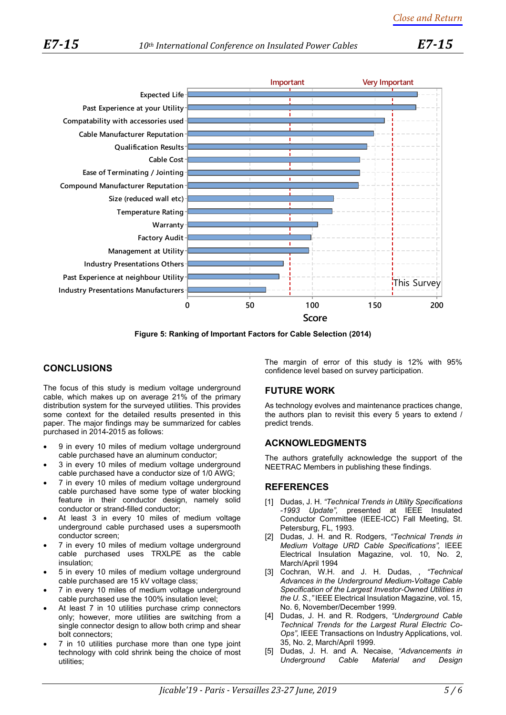

**Figure 5: Ranking of Important Factors for Cable Selection (2014)**

## <span id="page-4-1"></span>**CONCLUSIONS**

The focus of this study is medium voltage underground cable, which makes up on average 21% of the primary distribution system for the surveyed utilities. This provides some context for the detailed results presented in this paper. The major findings may be summarized for cables purchased in 2014-2015 as follows:

- 9 in every 10 miles of medium voltage underground cable purchased have an aluminum conductor;
- 3 in every 10 miles of medium voltage underground cable purchased have a conductor size of 1/0 AWG;
- 7 in every 10 miles of medium voltage underground cable purchased have some type of water blocking feature in their conductor design, namely solid conductor or strand-filled conductor;
- At least 3 in every 10 miles of medium voltage underground cable purchased uses a supersmooth conductor screen;
- 7 in every 10 miles of medium voltage underground cable purchased uses TRXLPE as the cable insulation;
- 5 in every 10 miles of medium voltage underground cable purchased are 15 kV voltage class;
- 7 in every 10 miles of medium voltage underground cable purchased use the 100% insulation level;
- At least 7 in 10 utilities purchase crimp connectors only; however, more utilities are switching from a single connector design to allow both crimp and shear bolt connectors;
- 7 in 10 utilities purchase more than one type joint technology with cold shrink being the choice of most utilities;

The margin of error of this study is 12% with 95% confidence level based on survey participation.

## **FUTURE WORK**

As technology evolves and maintenance practices change, the authors plan to revisit this every 5 years to extend / predict trends.

### **ACKNOWLEDGMENTS**

The authors gratefully acknowledge the support of the NEETRAC Members in publishing these findings.

### **REFERENCES**

- <span id="page-4-0"></span>[1] Dudas, J. H. *"Technical Trends in Utility Specifications -1993 Update",* presented at IEEE Insulated Conductor Committee (IEEE-ICC) Fall Meeting, St. Petersburg, FL, 1993.
- [2] Dudas, J. H. and R. Rodgers, *"Technical Trends in Medium Voltage URD Cable Specifications",* IEEE Electrical Insulation Magazine, vol. 10, No. 2, March/April 1994
- [3] Cochran, W.H. and J. H. Dudas, , *"Technical Advances in the Underground Medium-Voltage Cable Specification of the Largest Investor-Owned Utilities in the U. S.,"* IEEE Electrical Insulation Magazine, vol. 15, No. 6, November/December 1999.
- [4] Dudas, J. H. and R. Rodgers, *"Underground Cable Technical Trends for the Largest Rural Electric Co-Ops",* IEEE Transactions on Industry Applications, vol. 35, No. 2, March/April 1999.
- [5] Dudas, J. H. and A. Necaise, *"Advancements in Underground Cable Material and Design*